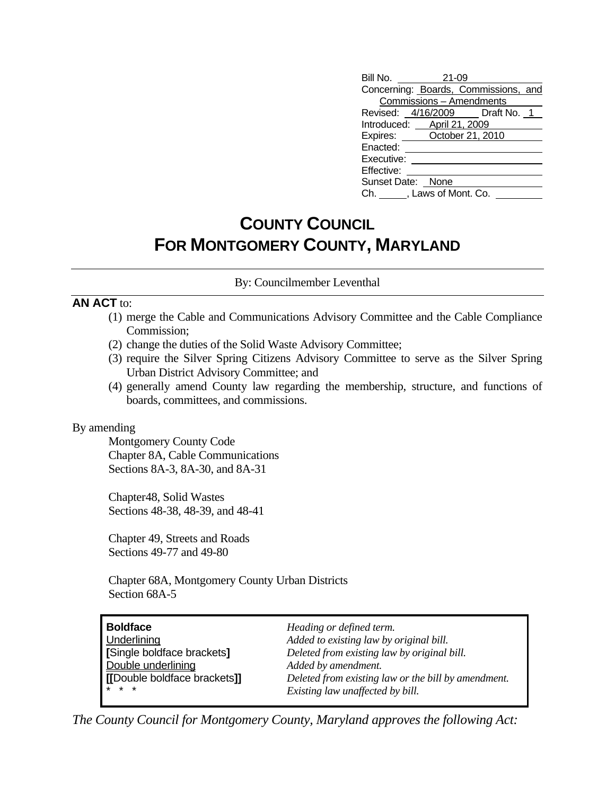| Bill No. 21-09                       |                          |  |  |
|--------------------------------------|--------------------------|--|--|
| Concerning: Boards, Commissions, and |                          |  |  |
|                                      | Commissions - Amendments |  |  |
| Revised: 4/16/2009 Draft No. 1       |                          |  |  |
| Introduced: April 21, 2009           |                          |  |  |
| Expires: October 21, 2010            |                          |  |  |
| Enacted:                             |                          |  |  |
| Executive:                           |                          |  |  |
| Effective:                           |                          |  |  |
| Sunset Date: None                    |                          |  |  |
| Ch. Flaws of Mont. Co.               |                          |  |  |

## **COUNTY COUNCIL FOR MONTGOMERY COUNTY, MARYLAND**

By: Councilmember Leventhal

#### **AN ACT** to:

- (1) merge the Cable and Communications Advisory Committee and the Cable Compliance Commission;
- (2) change the duties of the Solid Waste Advisory Committee;
- (3) require the Silver Spring Citizens Advisory Committee to serve as the Silver Spring Urban District Advisory Committee; and
- (4) generally amend County law regarding the membership, structure, and functions of boards, committees, and commissions.

#### By amending

 Montgomery County Code Chapter 8A, Cable Communications Sections 8A-3, 8A-30, and 8A-31

Chapter48, Solid Wastes Sections 48-38, 48-39, and 48-41

Chapter 49, Streets and Roads Sections 49-77 and 49-80

 Chapter 68A, Montgomery County Urban Districts Section 68A-5

| <b>Boldface</b>              | Heading or defined term.                            |
|------------------------------|-----------------------------------------------------|
| Underlining                  | Added to existing law by original bill.             |
| [Single boldface brackets]   | Deleted from existing law by original bill.         |
| Double underlining           | Added by amendment.                                 |
| [[Double boldface brackets]] | Deleted from existing law or the bill by amendment. |
| $* * *$                      | Existing law unaffected by bill.                    |

*The County Council for Montgomery County, Maryland approves the following Act:*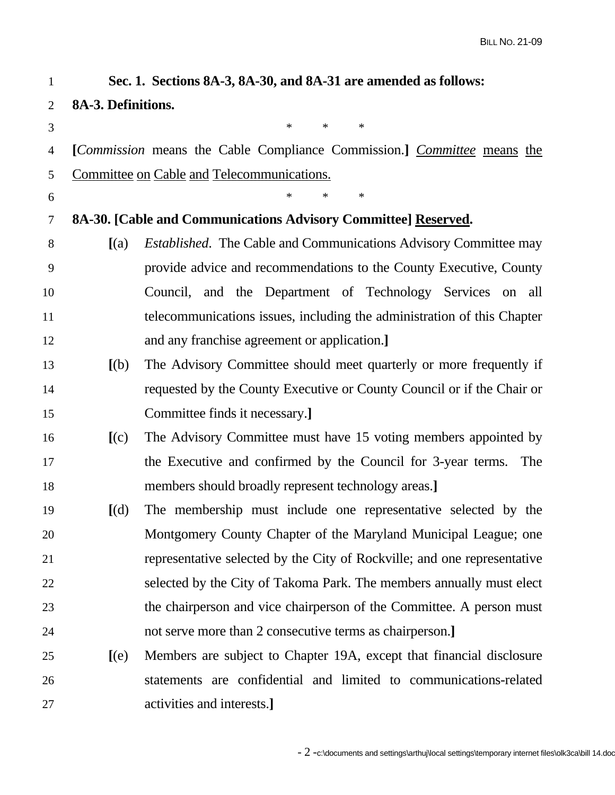| 1              |                                                                | Sec. 1. Sections 8A-3, 8A-30, and 8A-31 are amended as follows:                        |  |
|----------------|----------------------------------------------------------------|----------------------------------------------------------------------------------------|--|
| $\overline{2}$ | 8A-3. Definitions.                                             |                                                                                        |  |
| 3              |                                                                | $\ast$<br>$\ast$<br>$\ast$                                                             |  |
| 4              |                                                                | [ <i>Commission</i> means the Cable Compliance Commission.] <i>Committee</i> means the |  |
| 5              |                                                                | Committee on Cable and Telecommunications.                                             |  |
| 6              |                                                                | $\ast$<br>*                                                                            |  |
| 7              | 8A-30. [Cable and Communications Advisory Committee] Reserved. |                                                                                        |  |
| 8              | (a)                                                            | <i>Established.</i> The Cable and Communications Advisory Committee may                |  |
| 9              |                                                                | provide advice and recommendations to the County Executive, County                     |  |
| 10             |                                                                | Council, and the Department of Technology Services on all                              |  |
| 11             |                                                                | telecommunications issues, including the administration of this Chapter                |  |
| 12             |                                                                | and any franchise agreement or application.                                            |  |
| 13             | [(b)]                                                          | The Advisory Committee should meet quarterly or more frequently if                     |  |
| 14             |                                                                | requested by the County Executive or County Council or if the Chair or                 |  |
| 15             |                                                                | Committee finds it necessary.]                                                         |  |
| 16             | [(c)]                                                          | The Advisory Committee must have 15 voting members appointed by                        |  |
| 17             |                                                                | the Executive and confirmed by the Council for 3-year terms.<br>The                    |  |
| 18             |                                                                | members should broadly represent technology areas.]                                    |  |
| 19             | [(d)]                                                          | The membership must include one representative selected by the                         |  |
| 20             |                                                                | Montgomery County Chapter of the Maryland Municipal League; one                        |  |
| 21             |                                                                | representative selected by the City of Rockville; and one representative               |  |
| 22             |                                                                | selected by the City of Takoma Park. The members annually must elect                   |  |
| 23             |                                                                | the chairperson and vice chairperson of the Committee. A person must                   |  |
| 24             |                                                                | not serve more than 2 consecutive terms as chairperson.]                               |  |
| 25             | [(e)]                                                          | Members are subject to Chapter 19A, except that financial disclosure                   |  |
| 26             |                                                                | statements are confidential and limited to communications-related                      |  |
| 27             |                                                                | activities and interests.]                                                             |  |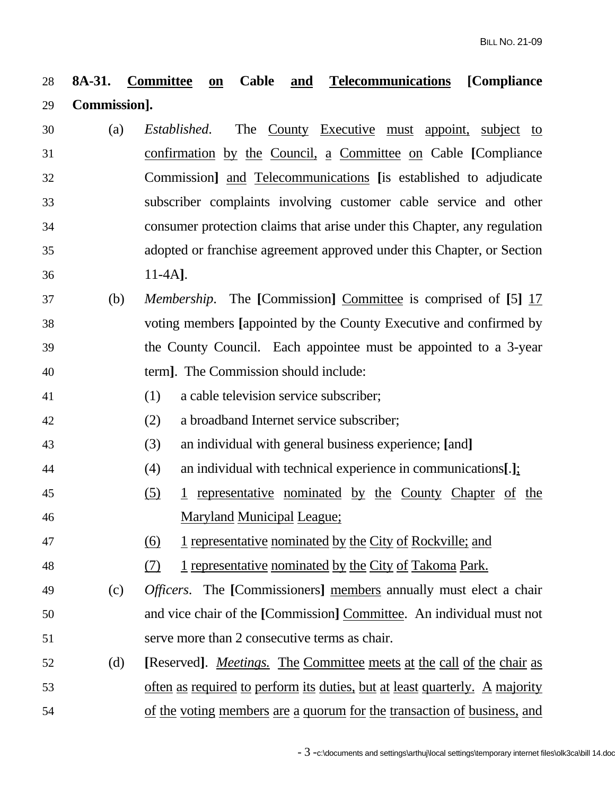## 28 **8A-31. Committee on Cable and Telecommunications [Compliance**  29 **Commission].**

- 30 (a) *Established*. The County Executive must appoint, subject to 31 confirmation by the Council, a Committee on Cable **[**Compliance 32 Commission**]** and Telecommunications **[**is established to adjudicate 33 subscriber complaints involving customer cable service and other 34 consumer protection claims that arise under this Chapter, any regulation 35 adopted or franchise agreement approved under this Chapter, or Section 36 11-4A**]**.
- 37 (b) *Membership*. The **[**Commission**]** Committee is comprised of **[**5**]** 17 38 voting members **[**appointed by the County Executive and confirmed by 39 the County Council. Each appointee must be appointed to a 3-year 40 term**]**. The Commission should include:
- 41 (1) a cable television service subscriber;
- 42 (2) a broadband Internet service subscriber;
- 43 (3) an individual with general business experience; **[**and**]**
- 44 (4) an individual with technical experience in communications**[**.**]**;
- 45 (5) 1 representative nominated by the County Chapter of the 46 Maryland Municipal League;
- 47 (6) 1 representative nominated by the City of Rockville; and
- 48 (7) 1 representative nominated by the City of Takoma Park.
- 49 (c) *Officers*. The **[**Commissioners**]** members annually must elect a chair 50 and vice chair of the **[**Commission**]** Committee. An individual must not 51 serve more than 2 consecutive terms as chair.
- 52 (d) **[**Reserved**]**.*Meetings.* The Committee meets at the call of the chair as 53 often as required to perform its duties, but at least quarterly. A majority 54 of the voting members are a quorum for the transaction of business, and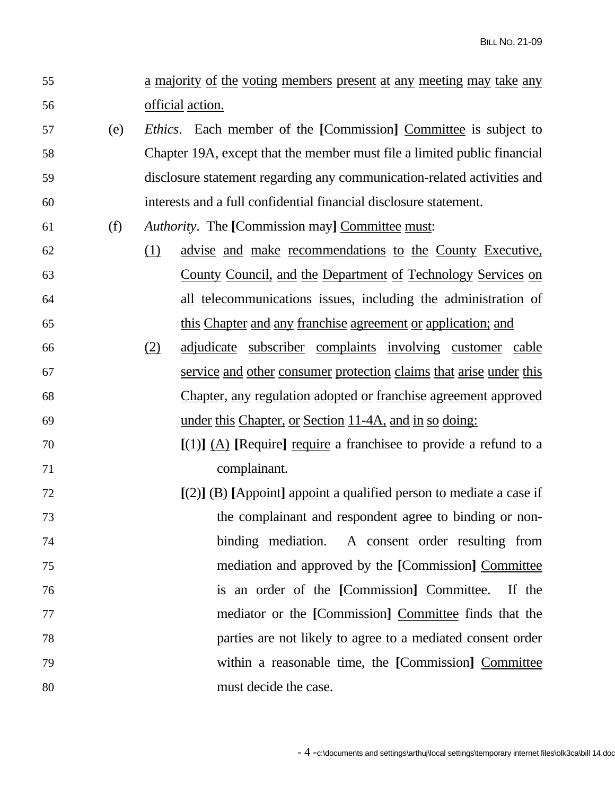- 55 a majority of the voting members present at any meeting may take any 56 official action.
- 57 (e) *Ethics*. Each member of the **[**Commission**]** Committee is subject to 58 Chapter 19A, except that the member must file a limited public financial 59 disclosure statement regarding any communication-related activities and 60 interests and a full confidential financial disclosure statement.
- 61 (f) *Authority*. The **[**Commission may**]** Committee must:
- 62 (1) advise and make recommendations to the County Executive, 63 County Council, and the Department of Technology Services on 64 all telecommunications issues, including the administration of 65 this Chapter and any franchise agreement or application; and
- 66 (2) adjudicate subscriber complaints involving customer cable 67 service and other consumer protection claims that arise under this 68 Chapter, any regulation adopted or franchise agreement approved 69 under this Chapter, or Section 11-4A, and in so doing:
- 70 **[**(1)**]** (A) **[**Require**]** require a franchisee to provide a refund to a 71 complainant.
- 72 **[**(2)**]** (B) **[**Appoint**]** appoint a qualified person to mediate a case if 73 the complainant and respondent agree to binding or non-74 binding mediation. A consent order resulting from 75 mediation and approved by the **[**Commission**]** Committee 76 is an order of the **[**Commission**]** Committee. If the 77 mediator or the **[**Commission**]** Committee finds that the 78 parties are not likely to agree to a mediated consent order 79 within a reasonable time, the **[**Commission**]** Committee 80 must decide the case.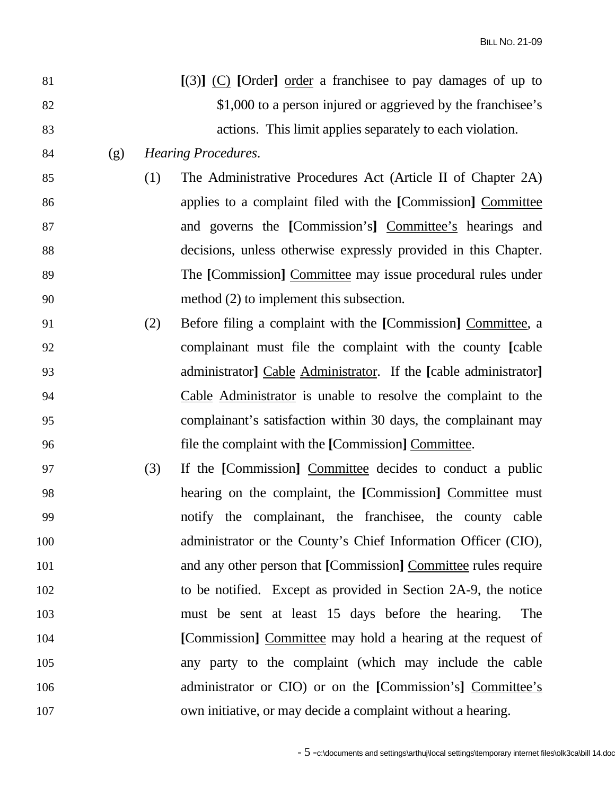| 81  |     |     | $[(3)]$ (C) [Order] order a franchisee to pay damages of up to   |
|-----|-----|-----|------------------------------------------------------------------|
| 82  |     |     | \$1,000 to a person injured or aggrieved by the franchisee's     |
| 83  |     |     | actions. This limit applies separately to each violation.        |
| 84  | (g) |     | <b>Hearing Procedures.</b>                                       |
| 85  |     | (1) | The Administrative Procedures Act (Article II of Chapter 2A)     |
| 86  |     |     | applies to a complaint filed with the [Commission] Committee     |
| 87  |     |     | and governs the [Commission's] Committee's hearings and          |
| 88  |     |     | decisions, unless otherwise expressly provided in this Chapter.  |
| 89  |     |     | The [Commission] Committee may issue procedural rules under      |
| 90  |     |     | method (2) to implement this subsection.                         |
| 91  |     | (2) | Before filing a complaint with the [Commission] Committee, a     |
| 92  |     |     | complainant must file the complaint with the county [cable       |
| 93  |     |     | administrator] Cable Administrator. If the [cable administrator] |
| 94  |     |     | Cable Administrator is unable to resolve the complaint to the    |
| 95  |     |     | complainant's satisfaction within 30 days, the complainant may   |
| 96  |     |     | file the complaint with the [Commission] Committee.              |
| 97  |     | (3) | If the [Commission] Committee decides to conduct a public        |
| 98  |     |     | hearing on the complaint, the [Commission] Committee must        |
| 99  |     |     | notify the complainant, the franchises, the county cable         |
| 100 |     |     | administrator or the County's Chief Information Officer (CIO),   |
| 101 |     |     | and any other person that [Commission] Committee rules require   |
| 102 |     |     | to be notified. Except as provided in Section 2A-9, the notice   |
| 103 |     |     | must be sent at least 15 days before the hearing.<br>The         |
| 104 |     |     | [Commission] Committee may hold a hearing at the request of      |
| 105 |     |     | any party to the complaint (which may include the cable          |
| 106 |     |     | administrator or CIO) or on the [Commission's] Committee's       |
| 107 |     |     | own initiative, or may decide a complaint without a hearing.     |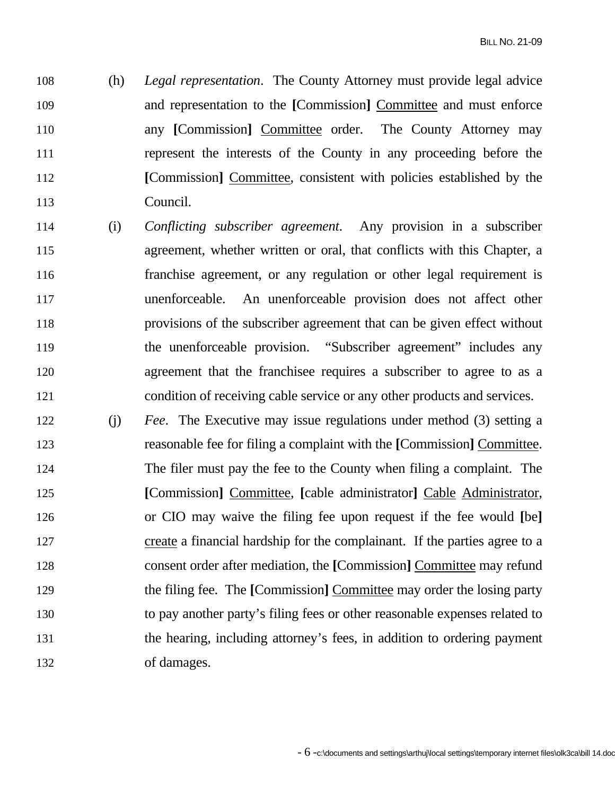108 (h) *Legal representation*. The County Attorney must provide legal advice 109 and representation to the **[**Commission**]** Committee and must enforce 110 any [Commission] Committee order. The County Attorney may 111 represent the interests of the County in any proceeding before the 112 **[**Commission**]** Committee, consistent with policies established by the 113 Council.

- 114 (i) *Conflicting subscriber agreement*. Any provision in a subscriber 115 agreement, whether written or oral, that conflicts with this Chapter, a 116 franchise agreement, or any regulation or other legal requirement is 117 unenforceable. An unenforceable provision does not affect other 118 provisions of the subscriber agreement that can be given effect without 119 the unenforceable provision. "Subscriber agreement" includes any 120 agreement that the franchisee requires a subscriber to agree to as a 121 condition of receiving cable service or any other products and services.
- 122 (j) *Fee*. The Executive may issue regulations under method (3) setting a 123 reasonable fee for filing a complaint with the **[**Commission**]** Committee. 124 The filer must pay the fee to the County when filing a complaint. The 125 **[**Commission**]** Committee, **[**cable administrator**]** Cable Administrator, 126 or CIO may waive the filing fee upon request if the fee would **[**be**]** 127 create a financial hardship for the complainant. If the parties agree to a 128 consent order after mediation, the **[**Commission**]** Committee may refund 129 the filing fee. The **[**Commission**]** Committee may order the losing party 130 to pay another party's filing fees or other reasonable expenses related to 131 the hearing, including attorney's fees, in addition to ordering payment 132 of damages.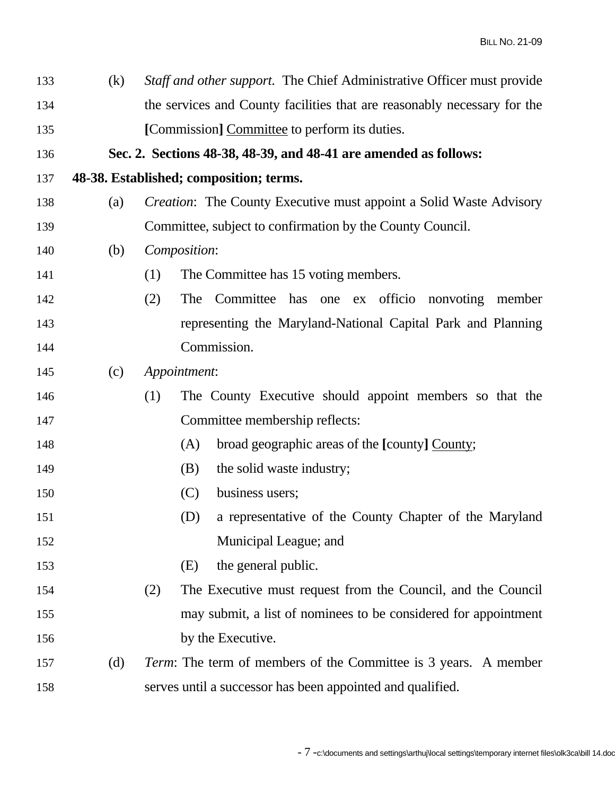| 133 | (k) | Staff and other support. The Chief Administrative Officer must provide    |
|-----|-----|---------------------------------------------------------------------------|
| 134 |     | the services and County facilities that are reasonably necessary for the  |
| 135 |     | [Commission] Committee to perform its duties.                             |
| 136 |     | Sec. 2. Sections 48-38, 48-39, and 48-41 are amended as follows:          |
| 137 |     | 48-38. Established; composition; terms.                                   |
| 138 | (a) | <i>Creation:</i> The County Executive must appoint a Solid Waste Advisory |
| 139 |     | Committee, subject to confirmation by the County Council.                 |
| 140 | (b) | Composition:                                                              |
| 141 |     | The Committee has 15 voting members.<br>(1)                               |
| 142 |     | Committee has one ex officio nonvoting member<br>(2)<br><b>The</b>        |
| 143 |     | representing the Maryland-National Capital Park and Planning              |
| 144 |     | Commission.                                                               |
| 145 | (c) | Appointment:                                                              |
| 146 |     | The County Executive should appoint members so that the<br>(1)            |
| 147 |     | Committee membership reflects:                                            |
| 148 |     | broad geographic areas of the [county] County;<br>(A)                     |
| 149 |     | the solid waste industry;<br>(B)                                          |
| 150 |     | (C)<br>business users;                                                    |
| 151 |     | a representative of the County Chapter of the Maryland<br>(D)             |
| 152 |     | Municipal League; and                                                     |
| 153 |     | the general public.<br>(E)                                                |
| 154 |     | The Executive must request from the Council, and the Council<br>(2)       |
| 155 |     | may submit, a list of nominees to be considered for appointment           |
| 156 |     | by the Executive.                                                         |
| 157 | (d) | <i>Term:</i> The term of members of the Committee is 3 years. A member    |
| 158 |     | serves until a successor has been appointed and qualified.                |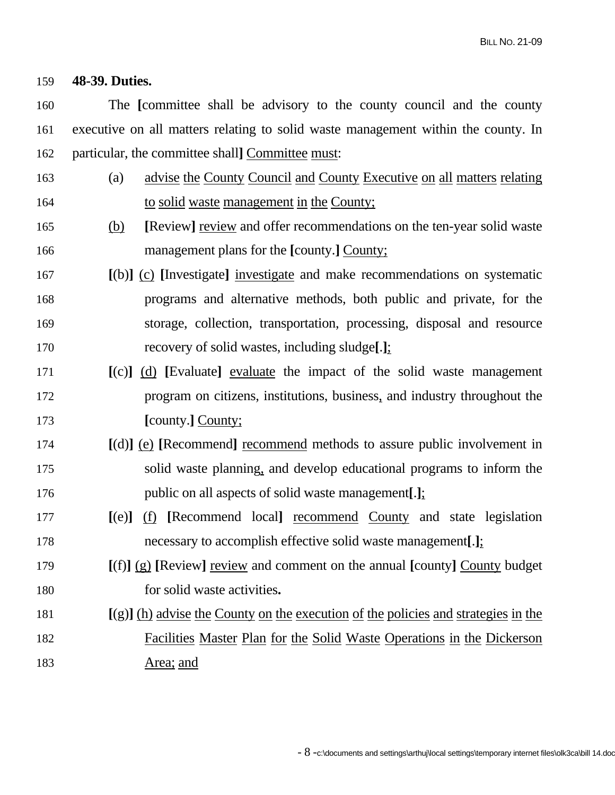#### 159 **48-39. Duties.**

160 The **[**committee shall be advisory to the county council and the county 161 executive on all matters relating to solid waste management within the county. In 162 particular, the committee shall**]** Committee must:

- 163 (a) advise the County Council and County Executive on all matters relating 164 to solid waste management in the County;
- 165 (b) **[**Review**]** review and offer recommendations on the ten-year solid waste 166 management plans for the **[**county.**]** County;
- 167 **[**(b)**]** (c) **[**Investigate**]** investigate and make recommendations on systematic 168 programs and alternative methods, both public and private, for the 169 storage, collection, transportation, processing, disposal and resource 170 recovery of solid wastes, including sludge**[**.**]**;
- 171 **[**(c)**]** (d) **[**Evaluate**]** evaluate the impact of the solid waste management 172 program on citizens, institutions, business, and industry throughout the 173 **[**county.**]** County;
- 174 **[**(d)**]** (e) **[**Recommend**]** recommend methods to assure public involvement in 175 solid waste planning, and develop educational programs to inform the 176 public on all aspects of solid waste management**[**.**]**;
- 177 **[**(e)**]** (f) **[**Recommend local**]** recommend County and state legislation 178 necessary to accomplish effective solid waste management**[**.**]**;
- 179 **[**(f)**]** (g) **[**Review**]** review and comment on the annual **[**county**]** County budget 180 for solid waste activities**.**

# 181 **[**(g)**]** (h) advise the County on the execution of the policies and strategies in the 182 Facilities Master Plan for the Solid Waste Operations in the Dickerson 183 Area; and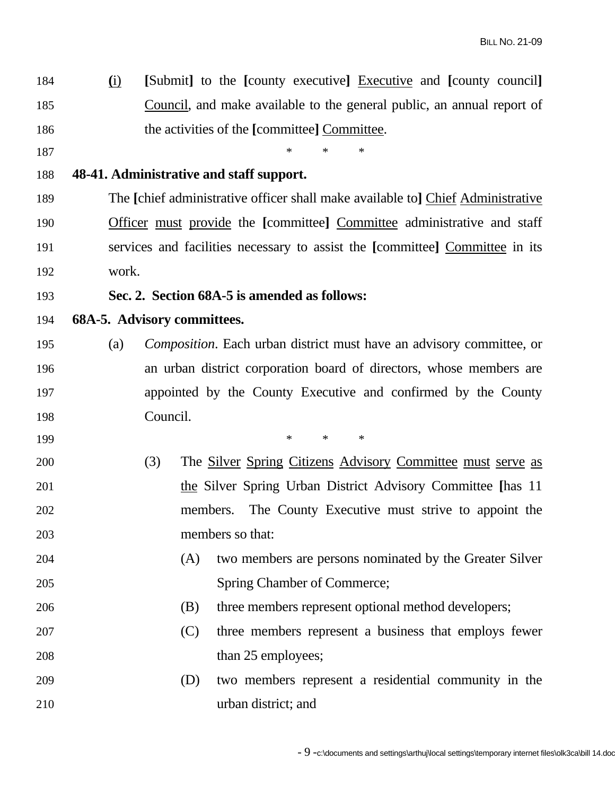184 **(**i) **[**Submit**]** to the **[**county executive**]** Executive and **[**county council**]** 185 Council, and make available to the general public, an annual report of 186 the activities of the **[**committee] Committee. 187 \* \* \* 188 **48-41. Administrative and staff support.**  189 The **[**chief administrative officer shall make available to**]** Chief Administrative 190 Officer must provide the **[**committee**]** Committee administrative and staff 191 services and facilities necessary to assist the **[**committee**]** Committee in its 192 work. 193 **Sec. 2. Section 68A-5 is amended as follows:**  194 **68A-5. Advisory committees.**  195 (a) *Composition*. Each urban district must have an advisory committee, or 196 an urban district corporation board of directors, whose members are 197 appointed by the County Executive and confirmed by the County 198 Council. 199 \* \* \* 200 (3) The Silver Spring Citizens Advisory Committee must serve as 201 the Silver Spring Urban District Advisory Committee **[**has 11 202 members. The County Executive must strive to appoint the 203 members so that: 204 (A) two members are persons nominated by the Greater Silver 205 Spring Chamber of Commerce; 206 (B) three members represent optional method developers; 207 (C) three members represent a business that employs fewer 208 than 25 employees; 209 (D) two members represent a residential community in the 210 urban district; and